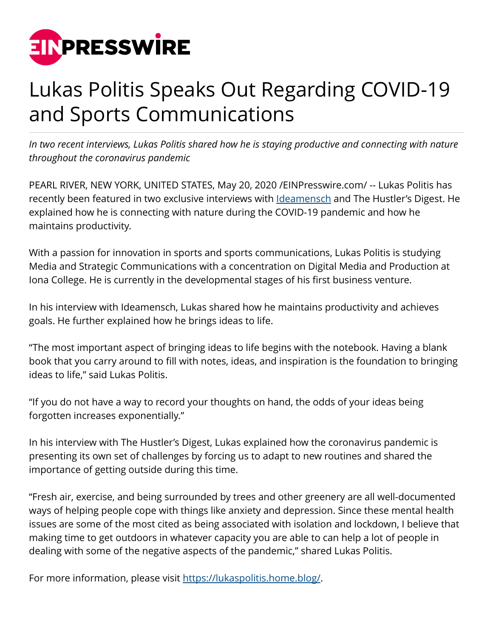

## Lukas Politis Speaks Out Regarding COVID-19 and Sports Communications

*In two recent interviews, Lukas Politis shared how he is staying productive and connecting with nature throughout the coronavirus pandemic*

PEARL RIVER, NEW YORK, UNITED STATES, May 20, 2020 [/EINPresswire.com/](http://www.einpresswire.com) -- Lukas Politis has recently been featured in two exclusive interviews with **Ideamensch** and The Hustler's Digest. He explained how he is connecting with nature during the COVID-19 pandemic and how he maintains productivity.

With a passion for innovation in sports and sports communications, Lukas Politis is studying Media and Strategic Communications with a concentration on Digital Media and Production at Iona College. He is currently in the developmental stages of his first business venture.

In his interview with Ideamensch, Lukas shared how he maintains productivity and achieves goals. He further explained how he brings ideas to life.

"The most important aspect of bringing ideas to life begins with the notebook. Having a blank book that you carry around to fill with notes, ideas, and inspiration is the foundation to bringing ideas to life," said Lukas Politis.

"If you do not have a way to record your thoughts on hand, the odds of your ideas being forgotten increases exponentially."

In his interview with The Hustler's Digest, Lukas explained how the coronavirus pandemic is presenting its own set of challenges by forcing us to adapt to new routines and shared the importance of getting outside during this time.

"Fresh air, exercise, and being surrounded by trees and other greenery are all well-documented ways of helping people cope with things like anxiety and depression. Since these mental health issues are some of the most cited as being associated with isolation and lockdown, I believe that making time to get outdoors in whatever capacity you are able to can help a lot of people in dealing with some of the negative aspects of the pandemic," shared Lukas Politis.

For more information, please visit<https://lukaspolitis.home.blog/>.